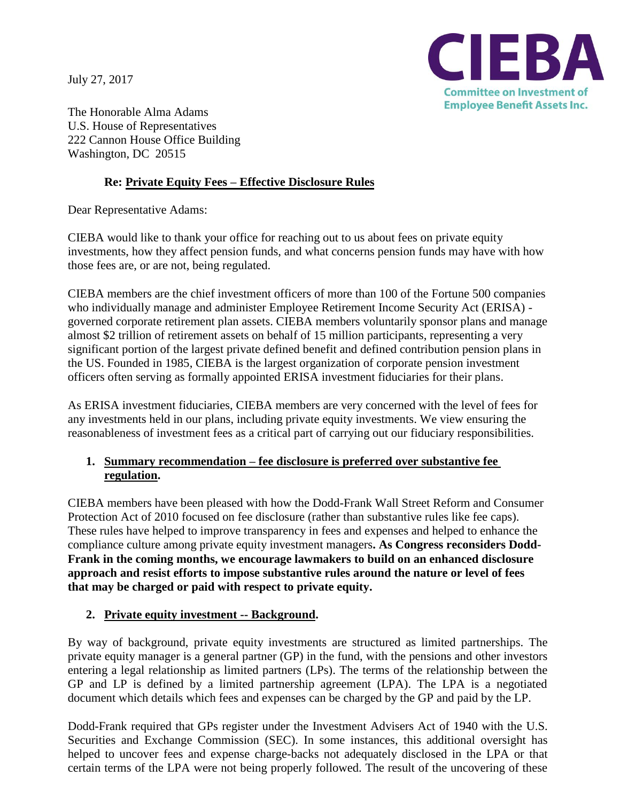July 27, 2017



The Honorable Alma Adams U.S. House of Representatives 222 Cannon House Office Building Washington, DC 20515

## **Re: Private Equity Fees – Effective Disclosure Rules**

Dear Representative Adams:

CIEBA would like to thank your office for reaching out to us about fees on private equity investments, how they affect pension funds, and what concerns pension funds may have with how those fees are, or are not, being regulated.

CIEBA members are the chief investment officers of more than 100 of the Fortune 500 companies who individually manage and administer Employee Retirement Income Security Act (ERISA) governed corporate retirement plan assets. CIEBA members voluntarily sponsor plans and manage almost \$2 trillion of retirement assets on behalf of 15 million participants, representing a very significant portion of the largest private defined benefit and defined contribution pension plans in the US. Founded in 1985, CIEBA is the largest organization of corporate pension investment officers often serving as formally appointed ERISA investment fiduciaries for their plans.

As ERISA investment fiduciaries, CIEBA members are very concerned with the level of fees for any investments held in our plans, including private equity investments. We view ensuring the reasonableness of investment fees as a critical part of carrying out our fiduciary responsibilities.

## **1. Summary recommendation – fee disclosure is preferred over substantive fee regulation.**

CIEBA members have been pleased with how the Dodd-Frank Wall Street Reform and Consumer Protection Act of 2010 focused on fee disclosure (rather than substantive rules like fee caps). These rules have helped to improve transparency in fees and expenses and helped to enhance the compliance culture among private equity investment managers**. As Congress reconsiders Dodd-Frank in the coming months, we encourage lawmakers to build on an enhanced disclosure approach and resist efforts to impose substantive rules around the nature or level of fees that may be charged or paid with respect to private equity.**

## **2. Private equity investment -- Background.**

By way of background, private equity investments are structured as limited partnerships. The private equity manager is a general partner (GP) in the fund, with the pensions and other investors entering a legal relationship as limited partners (LPs). The terms of the relationship between the GP and LP is defined by a limited partnership agreement (LPA). The LPA is a negotiated document which details which fees and expenses can be charged by the GP and paid by the LP.

Dodd-Frank required that GPs register under the Investment Advisers Act of 1940 with the U.S. Securities and Exchange Commission (SEC). In some instances, this additional oversight has helped to uncover fees and expense charge-backs not adequately disclosed in the LPA or that certain terms of the LPA were not being properly followed. The result of the uncovering of these